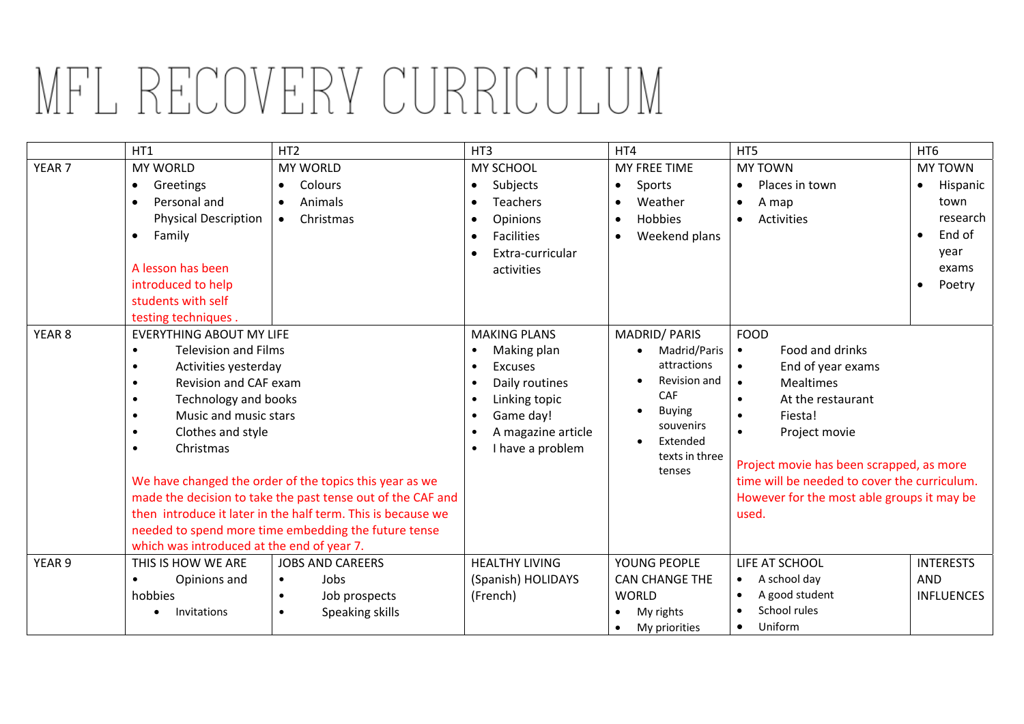## MFL RECOVERY CURRICULUM

|                   | HT1                                                                                                                                                                                                                                                                                          | HT <sub>2</sub>              | HT <sub>3</sub>                                                  | HT4                                  | HT5                                                                                                                                             | HT <sub>6</sub>       |
|-------------------|----------------------------------------------------------------------------------------------------------------------------------------------------------------------------------------------------------------------------------------------------------------------------------------------|------------------------------|------------------------------------------------------------------|--------------------------------------|-------------------------------------------------------------------------------------------------------------------------------------------------|-----------------------|
| YEAR <sub>7</sub> | <b>MY WORLD</b>                                                                                                                                                                                                                                                                              | <b>MY WORLD</b>              | MY SCHOOL                                                        | MY FREE TIME                         | <b>MY TOWN</b>                                                                                                                                  | <b>MY TOWN</b>        |
|                   | Greetings<br>$\bullet$                                                                                                                                                                                                                                                                       | Colours<br>$\bullet$         | Subjects<br>$\bullet$                                            | Sports<br>$\bullet$                  | Places in town<br>$\bullet$                                                                                                                     | Hispanic<br>$\bullet$ |
|                   | Personal and<br>$\bullet$                                                                                                                                                                                                                                                                    | Animals<br>$\bullet$         | <b>Teachers</b><br>$\bullet$                                     | Weather<br>$\bullet$                 | A map<br>$\bullet$                                                                                                                              | town                  |
|                   | <b>Physical Description</b>                                                                                                                                                                                                                                                                  | Christmas<br>$\bullet$       | Opinions<br>$\bullet$                                            | Hobbies<br>$\bullet$                 | Activities<br>$\bullet$                                                                                                                         | research              |
|                   | Family<br>$\bullet$                                                                                                                                                                                                                                                                          |                              | <b>Facilities</b><br>$\bullet$                                   | Weekend plans<br>$\bullet$           |                                                                                                                                                 | End of<br>$\bullet$   |
|                   |                                                                                                                                                                                                                                                                                              |                              | Extra-curricular<br>$\bullet$                                    |                                      |                                                                                                                                                 | year                  |
|                   | A lesson has been                                                                                                                                                                                                                                                                            |                              | activities                                                       |                                      |                                                                                                                                                 | exams                 |
|                   | introduced to help                                                                                                                                                                                                                                                                           |                              |                                                                  |                                      |                                                                                                                                                 | Poetry<br>$\bullet$   |
|                   | students with self                                                                                                                                                                                                                                                                           |                              |                                                                  |                                      |                                                                                                                                                 |                       |
|                   | testing techniques.                                                                                                                                                                                                                                                                          |                              |                                                                  |                                      |                                                                                                                                                 |                       |
| YEAR <sub>8</sub> | <b>EVERYTHING ABOUT MY LIFE</b>                                                                                                                                                                                                                                                              |                              | <b>MAKING PLANS</b>                                              | <b>MADRID/PARIS</b>                  | <b>FOOD</b>                                                                                                                                     |                       |
|                   | <b>Television and Films</b><br>$\bullet$                                                                                                                                                                                                                                                     |                              | Making plan<br>$\bullet$                                         | Madrid/Paris                         | Food and drinks<br>$\bullet$                                                                                                                    |                       |
|                   | Activities yesterday<br>$\bullet$                                                                                                                                                                                                                                                            |                              | <b>Excuses</b><br>$\bullet$                                      | attractions                          | End of year exams<br>$\bullet$                                                                                                                  |                       |
|                   | Revision and CAF exam<br>$\bullet$                                                                                                                                                                                                                                                           |                              | Daily routines<br>$\bullet$                                      | Revision and                         | <b>Mealtimes</b><br>$\bullet$                                                                                                                   |                       |
|                   | Technology and books<br>$\bullet$                                                                                                                                                                                                                                                            |                              | Linking topic<br>$\bullet$                                       | <b>CAF</b>                           | At the restaurant<br>$\bullet$                                                                                                                  |                       |
|                   | Music and music stars<br>$\bullet$                                                                                                                                                                                                                                                           |                              | Game day!<br>$\bullet$                                           | <b>Buying</b><br>souvenirs           | Fiesta!<br>$\bullet$                                                                                                                            |                       |
|                   | Clothes and style                                                                                                                                                                                                                                                                            |                              | A magazine article<br>$\bullet$<br>I have a problem<br>$\bullet$ | Extended<br>texts in three<br>tenses | Project movie                                                                                                                                   |                       |
|                   | Christmas<br>$\bullet$                                                                                                                                                                                                                                                                       |                              |                                                                  |                                      | Project movie has been scrapped, as more<br>time will be needed to cover the curriculum.<br>However for the most able groups it may be<br>used. |                       |
|                   | We have changed the order of the topics this year as we<br>made the decision to take the past tense out of the CAF and<br>then introduce it later in the half term. This is because we<br>needed to spend more time embedding the future tense<br>which was introduced at the end of year 7. |                              |                                                                  |                                      |                                                                                                                                                 |                       |
|                   |                                                                                                                                                                                                                                                                                              |                              |                                                                  |                                      |                                                                                                                                                 |                       |
|                   |                                                                                                                                                                                                                                                                                              |                              |                                                                  |                                      |                                                                                                                                                 |                       |
|                   |                                                                                                                                                                                                                                                                                              |                              |                                                                  |                                      |                                                                                                                                                 |                       |
|                   |                                                                                                                                                                                                                                                                                              |                              |                                                                  |                                      |                                                                                                                                                 |                       |
| YEAR 9            | THIS IS HOW WE ARE                                                                                                                                                                                                                                                                           | <b>JOBS AND CAREERS</b>      | <b>HEALTHY LIVING</b>                                            | YOUNG PEOPLE                         | LIFE AT SCHOOL                                                                                                                                  | <b>INTERESTS</b>      |
|                   | Opinions and<br>$\bullet$                                                                                                                                                                                                                                                                    | Jobs<br>$\bullet$            | (Spanish) HOLIDAYS                                               | <b>CAN CHANGE THE</b>                | A school day                                                                                                                                    | <b>AND</b>            |
|                   | hobbies                                                                                                                                                                                                                                                                                      | Job prospects<br>$\bullet$   | (French)                                                         | <b>WORLD</b>                         | A good student                                                                                                                                  | <b>INFLUENCES</b>     |
|                   | Invitations<br>$\bullet$                                                                                                                                                                                                                                                                     | Speaking skills<br>$\bullet$ |                                                                  | My rights<br>$\bullet$               | School rules                                                                                                                                    |                       |
|                   |                                                                                                                                                                                                                                                                                              |                              |                                                                  | My priorities                        | Uniform<br>$\bullet$                                                                                                                            |                       |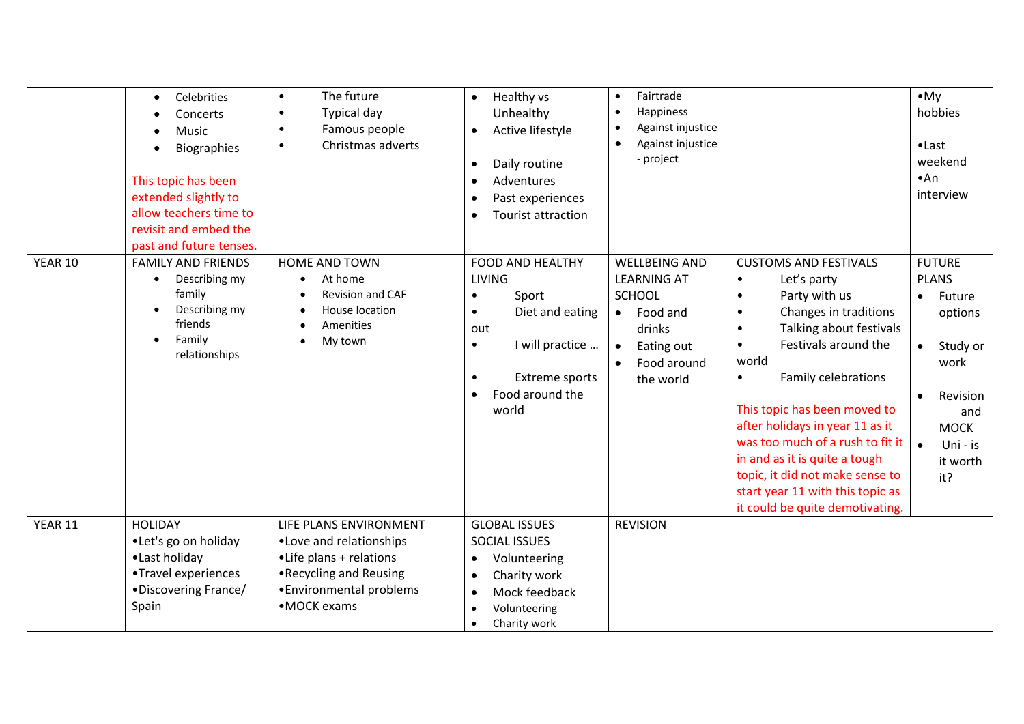|                | Celebrities<br>$\bullet$<br>Concerts<br>Music<br>Biographies<br>This topic has been<br>extended slightly to<br>allow teachers time to<br>revisit and embed the<br>past and future tenses. | The future<br>$\bullet$<br>Typical day<br>$\bullet$<br>Famous people<br>$\bullet$<br>Christmas adverts<br>$\bullet$                                | Healthy vs<br>$\bullet$<br>Unhealthy<br>Active lifestyle<br>$\bullet$<br>Daily routine<br>$\bullet$<br>Adventures<br>$\bullet$<br>Past experiences<br>$\bullet$<br><b>Tourist attraction</b><br>$\bullet$     | Fairtrade<br>Happiness<br>$\bullet$<br>Against injustice<br>$\bullet$<br>Against injustice<br>- project                                               |                                                                                                                                                                                                                                                                                                                                                                                                                                                                                                          | $\bullet$ My<br>hobbies<br>$\bullet$ Last<br>weekend<br>•An<br>interview                                                                                                                    |
|----------------|-------------------------------------------------------------------------------------------------------------------------------------------------------------------------------------------|----------------------------------------------------------------------------------------------------------------------------------------------------|---------------------------------------------------------------------------------------------------------------------------------------------------------------------------------------------------------------|-------------------------------------------------------------------------------------------------------------------------------------------------------|----------------------------------------------------------------------------------------------------------------------------------------------------------------------------------------------------------------------------------------------------------------------------------------------------------------------------------------------------------------------------------------------------------------------------------------------------------------------------------------------------------|---------------------------------------------------------------------------------------------------------------------------------------------------------------------------------------------|
| <b>YEAR 10</b> | <b>FAMILY AND FRIENDS</b><br>Describing my<br>$\bullet$<br>family<br>Describing my<br>friends<br>Family<br>$\bullet$<br>relationships                                                     | HOME AND TOWN<br>At home<br>$\bullet$<br>Revision and CAF<br>$\bullet$<br>House location<br>Amenities<br>My town                                   | <b>FOOD AND HEALTHY</b><br><b>LIVING</b><br>Sport<br>$\bullet$<br>Diet and eating<br>$\bullet$<br>out<br>I will practice<br>$\bullet$<br>Extreme sports<br>$\bullet$<br>Food around the<br>$\bullet$<br>world | <b>WELLBEING AND</b><br><b>LEARNING AT</b><br><b>SCHOOL</b><br>Food and<br>$\bullet$<br>drinks<br>Eating out<br>$\bullet$<br>Food around<br>the world | <b>CUSTOMS AND FESTIVALS</b><br>Let's party<br>$\bullet$<br>Party with us<br>$\bullet$<br>Changes in traditions<br>$\bullet$<br>Talking about festivals<br>$\bullet$<br>Festivals around the<br>$\bullet$<br>world<br>Family celebrations<br>$\bullet$<br>This topic has been moved to<br>after holidays in year 11 as it<br>was too much of a rush to fit it<br>in and as it is quite a tough<br>topic, it did not make sense to<br>start year 11 with this topic as<br>it could be quite demotivating. | <b>FUTURE</b><br><b>PLANS</b><br>Future<br>$\bullet$<br>options<br>Study or<br>$\bullet$<br>work<br>Revision<br>$\bullet$<br>and<br><b>MOCK</b><br>$\bullet$<br>Uni - is<br>it worth<br>it? |
| YEAR 11        | <b>HOLIDAY</b><br>•Let's go on holiday<br>•Last holiday<br>•Travel experiences<br>•Discovering France/<br>Spain                                                                           | LIFE PLANS ENVIRONMENT<br>•Love and relationships<br>•Life plans + relations<br>. Recycling and Reusing<br>• Environmental problems<br>•MOCK exams | <b>GLOBAL ISSUES</b><br>SOCIAL ISSUES<br>Volunteering<br>$\bullet$<br>Charity work<br>$\bullet$<br>Mock feedback<br>$\bullet$<br>Volunteering<br>$\bullet$<br>Charity work<br>$\bullet$                       | <b>REVISION</b>                                                                                                                                       |                                                                                                                                                                                                                                                                                                                                                                                                                                                                                                          |                                                                                                                                                                                             |